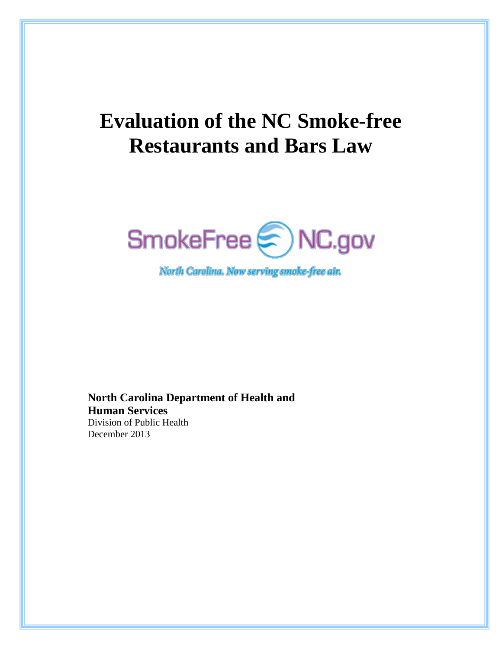# **Evaluation of the NC Smoke-free Restaurants and Bars Law**



North Carolina. Now serving smoke-free air.

**North Carolina Department of Health and Human Services** Division of Public Health December 2013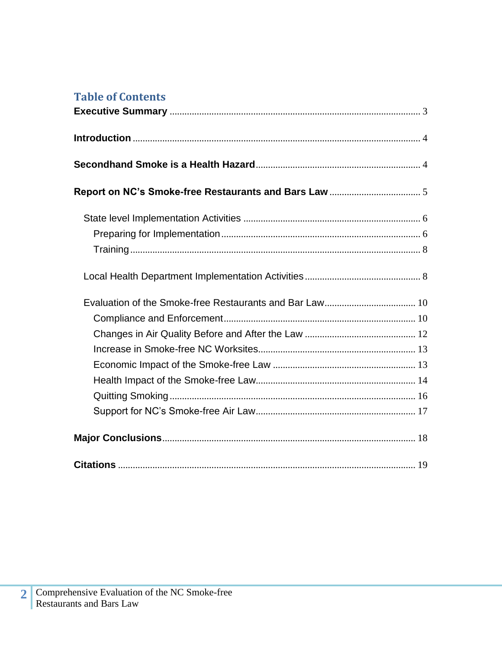# **Table of Contents**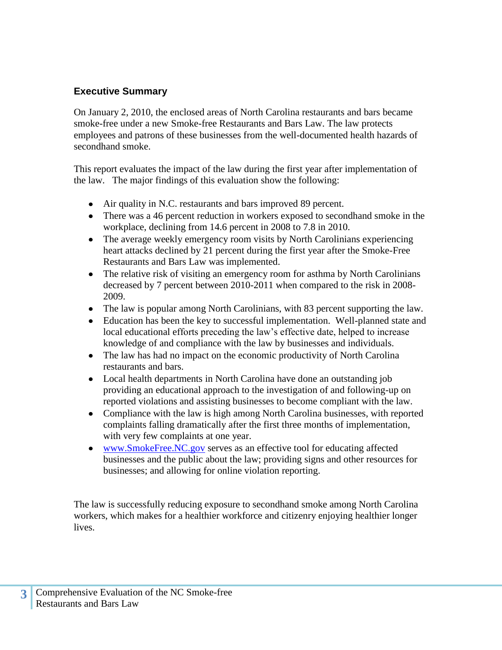## <span id="page-2-0"></span>**Executive Summary**

On January 2, 2010, the enclosed areas of North Carolina restaurants and bars became smoke-free under a new Smoke-free Restaurants and Bars Law. The law protects employees and patrons of these businesses from the well-documented health hazards of secondhand smoke.

This report evaluates the impact of the law during the first year after implementation of the law. The major findings of this evaluation show the following:

- Air quality in N.C. restaurants and bars improved 89 percent.
- There was a 46 percent reduction in workers exposed to secondhand smoke in the workplace, declining from 14.6 percent in 2008 to 7.8 in 2010.
- The average weekly emergency room visits by North Carolinians experiencing heart attacks declined by 21 percent during the first year after the Smoke-Free Restaurants and Bars Law was implemented.
- The relative risk of visiting an emergency room for asthma by North Carolinians decreased by 7 percent between 2010-2011 when compared to the risk in 2008- 2009.
- The law is popular among North Carolinians, with 83 percent supporting the law.
- Education has been the key to successful implementation. Well-planned state and local educational efforts preceding the law's effective date, helped to increase knowledge of and compliance with the law by businesses and individuals.
- The law has had no impact on the economic productivity of North Carolina restaurants and bars.
- Local health departments in North Carolina have done an outstanding job providing an educational approach to the investigation of and following-up on reported violations and assisting businesses to become compliant with the law.
- Compliance with the law is high among North Carolina businesses, with reported complaints falling dramatically after the first three months of implementation, with very few complaints at one year.
- [www.SmokeFree.NC.gov](http://www.smokefree.nc.gov/) serves as an effective tool for educating affected businesses and the public about the law; providing signs and other resources for businesses; and allowing for online violation reporting.

The law is successfully reducing exposure to secondhand smoke among North Carolina workers, which makes for a healthier workforce and citizenry enjoying healthier longer lives.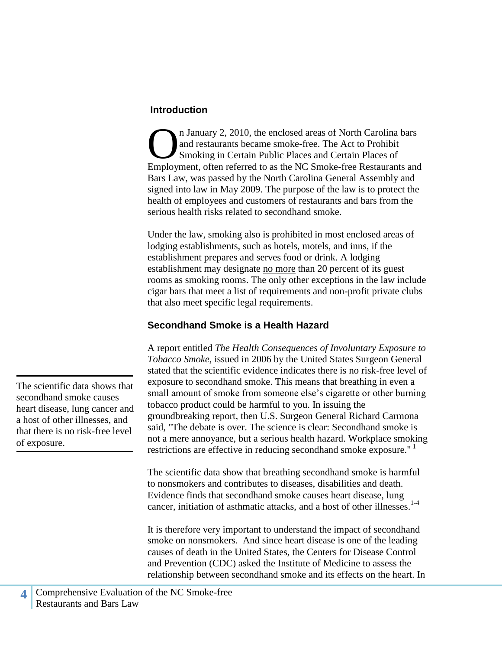#### <span id="page-3-0"></span>**Introduction**

n January 2, 2010, the enclosed areas of North Carolina bars and restaurants became smoke-free. The Act to Prohibit Smoking in Certain Public Places and Certain Places of In January 2, 2010, the enclosed areas of North Carolina bars<br>and restaurants became smoke-free. The Act to Prohibit<br>Smoking in Certain Public Places and Certain Places of<br>Employment, often referred to as the NC Smoke-free Bars Law, was passed by the North Carolina General Assembly and signed into law in May 2009. The purpose of the law is to protect the health of employees and customers of restaurants and bars from the serious health risks related to secondhand smoke.

Under the law, smoking also is prohibited in most enclosed areas of lodging establishments, such as hotels, motels, and inns, if the establishment prepares and serves food or drink. A lodging establishment may designate no more than 20 percent of its guest rooms as smoking rooms. The only other exceptions in the law include cigar bars that meet a list of requirements and non-profit private clubs that also meet specific legal requirements.

#### <span id="page-3-1"></span>**Secondhand Smoke is a Health Hazard**

A report entitled *The Health Consequences of Involuntary Exposure to Tobacco Smoke*, issued in 2006 by the United States Surgeon General stated that the scientific evidence indicates there is no risk-free level of exposure to secondhand smoke. This means that breathing in even a small amount of smoke from someone else's cigarette or other burning tobacco product could be harmful to you. In issuing the groundbreaking report, then U.S. Surgeon General Richard Carmona said, "The debate is over. The science is clear: Secondhand smoke is not a mere annoyance, but a serious health hazard. Workplace smoking restrictions are effective in reducing secondhand smoke exposure."

The scientific data show that breathing secondhand smoke is harmful to nonsmokers and contributes to diseases, disabilities and death. Evidence finds that secondhand smoke causes heart disease, lung cancer, initiation of asthmatic attacks, and a host of other illnesses.<sup>1-4</sup>

It is therefore very important to understand the impact of secondhand smoke on nonsmokers. And since heart disease is one of the leading causes of death in the United States, the Centers for Disease Control and Prevention (CDC) asked the Institute of Medicine to assess the relationship between secondhand smoke and its effects on the heart. In

heart disease, lung cancer and a host of other illnesses, and that there is no risk-free level of exposure.

The scientific data shows that secondhand smoke causes

**4**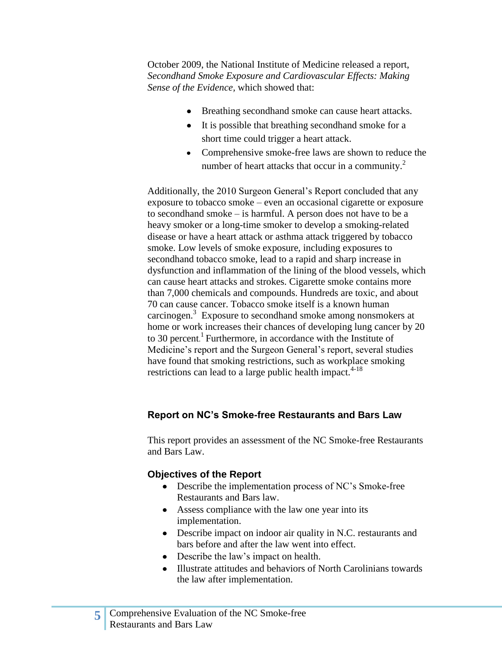October 2009, the National Institute of Medicine released a report, *Secondhand Smoke Exposure and Cardiovascular Effects: Making Sense of the Evidence,* which showed that:

- Breathing secondhand smoke can cause heart attacks.
- It is possible that breathing secondhand smoke for a short time could trigger a heart attack.
- Comprehensive smoke-free laws are shown to reduce the number of heart attacks that occur in a community.<sup>2</sup>

Additionally, the 2010 Surgeon General's Report concluded that any exposure to tobacco smoke – even an occasional cigarette or exposure to secondhand smoke – is harmful. A person does not have to be a heavy smoker or a long-time smoker to develop a smoking-related disease or have a heart attack or asthma attack triggered by tobacco smoke. Low levels of smoke exposure, including exposures to secondhand tobacco smoke, lead to a rapid and sharp increase in dysfunction and inflammation of the lining of the blood vessels, which can cause heart attacks and strokes. Cigarette smoke contains more than 7,000 chemicals and compounds. Hundreds are toxic, and about 70 can cause cancer. Tobacco smoke itself is a known human carcinogen.<sup>3</sup> Exposure to secondhand smoke among nonsmokers at home or work increases their chances of developing lung cancer by 20 to 30 percent. <sup>1</sup>Furthermore, in accordance with the Institute of Medicine's report and the Surgeon General's report, several studies have found that smoking restrictions, such as workplace smoking restrictions can lead to a large public health impact. $4-18$ 

## <span id="page-4-0"></span>**Report on NC's Smoke-free Restaurants and Bars Law**

This report provides an assessment of the NC Smoke-free Restaurants and Bars Law.

### **Objectives of the Report**

- Describe the implementation process of NC's Smoke-free Restaurants and Bars law.
- Assess compliance with the law one year into its implementation.
- Describe impact on indoor air quality in N.C. restaurants and bars before and after the law went into effect.
- Describe the law's impact on health.
- Illustrate attitudes and behaviors of North Carolinians towards the law after implementation.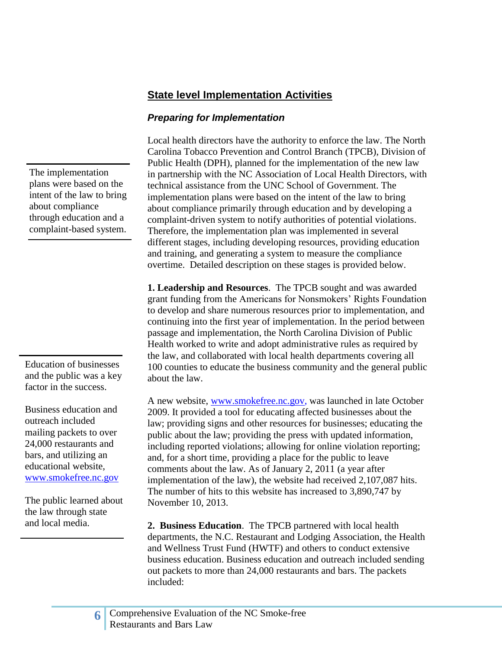## <span id="page-5-0"></span>**State level Implementation Activities**

## <span id="page-5-1"></span>*Preparing for Implementation*

Local health directors have the authority to enforce the law. The North Carolina Tobacco Prevention and Control Branch (TPCB), Division of Public Health (DPH), planned for the implementation of the new law in partnership with the NC Association of Local Health Directors, with technical assistance from the UNC School of Government. The implementation plans were based on the intent of the law to bring about compliance primarily through education and by developing a complaint-driven system to notify authorities of potential violations. Therefore, the implementation plan was implemented in several different stages, including developing resources, providing education and training, and generating a system to measure the compliance overtime. Detailed description on these stages is provided below.

**1. Leadership and Resources**. The TPCB sought and was awarded grant funding from the Americans for Nonsmokers' Rights Foundation to develop and share numerous resources prior to implementation, and continuing into the first year of implementation. In the period between passage and implementation, the North Carolina Division of Public Health worked to write and adopt administrative rules as required by the law, and collaborated with local health departments covering all 100 counties to educate the business community and the general public about the law.

A new website, [www.smokefree.nc.gov,](http://tobaccopreventionandcontrol.ncdhhs.gov/smokefreenc/) was launched in late October 2009. It provided a tool for educating affected businesses about the law; providing signs and other resources for businesses; educating the public about the law; providing the press with updated information, including reported violations; allowing for online violation reporting; and, for a short time, providing a place for the public to leave comments about the law. As of January 2, 2011 (a year after implementation of the law), the website had received 2,107,087 hits. The number of hits to this website has increased to 3,890,747 by November 10, 2013.

**2. Business Education**. The TPCB partnered with local health departments, the N.C. Restaurant and Lodging Association, the Health and Wellness Trust Fund (HWTF) and others to conduct extensive business education. Business education and outreach included sending out packets to more than 24,000 restaurants and bars. The packets included:

The implementation plans were based on the intent of the law to bring about compliance through education and a complaint-based system.

Education of businesses and the public was a key factor in the success.

Business education and outreach included mailing packets to over 24,000 restaurants and bars, and utilizing an educational website, [www.smokefree.nc.gov](http://www.smokefree.nc.gov/)

The public learned about the law through state and local media.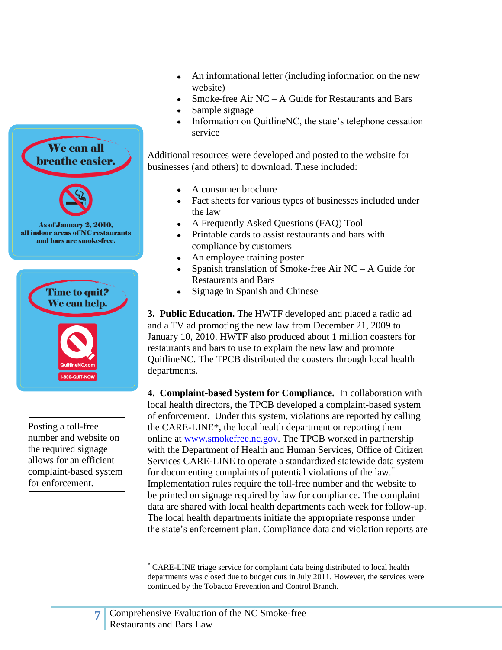

Posting a toll-free number and website on the required signage allows for an efficient complaint-based system for enforcement.

- An informational letter (including information on the new  $\bullet$ website)
- Smoke-free Air NC A Guide for Restaurants and Bars
- Sample signage
- Information on QuitlineNC, the state's telephone cessation service

Additional resources were developed and posted to the website for businesses (and others) to download. These included:

- A consumer brochure
- Fact sheets for various types of businesses included under  $\bullet$ the law
- A Frequently Asked Questions (FAQ) Tool
- Printable cards to assist restaurants and bars with compliance by customers
- An employee training poster
- Spanish translation of Smoke-free Air NC A Guide for Restaurants and Bars
- Signage in Spanish and Chinese  $\bullet$

**3. Public Education.** The HWTF developed and placed a radio ad and a TV ad promoting the new law from December 21, 2009 to January 10, 2010. HWTF also produced about 1 million coasters for restaurants and bars to use to explain the new law and promote QuitlineNC. The TPCB distributed the coasters through local health departments.

**4. Complaint-based System for Compliance.** In collaboration with local health directors, the TPCB developed a complaint-based system of enforcement. Under this system, violations are reported by calling the CARE-LINE\*, the local health department or reporting them online at [www.smokefree.nc.gov.](http://tobaccopreventionandcontrol.ncdhhs.gov/smokefreenc/) The TPCB worked in partnership with the Department of Health and Human Services, Office of Citizen Services CARE-LINE to operate a standardized statewide data system for documenting complaints of potential violations of the law.<sup>\*</sup> Implementation rules require the toll-free number and the website to be printed on signage required by law for compliance. The complaint data are shared with local health departments each week for follow-up. The local health departments initiate the appropriate response under the state's enforcement plan. Compliance data and violation reports are

 $\overline{a}$ 

<sup>\*</sup> CARE-LINE triage service for complaint data being distributed to local health departments was closed due to budget cuts in July 2011. However, the services were continued by the Tobacco Prevention and Control Branch.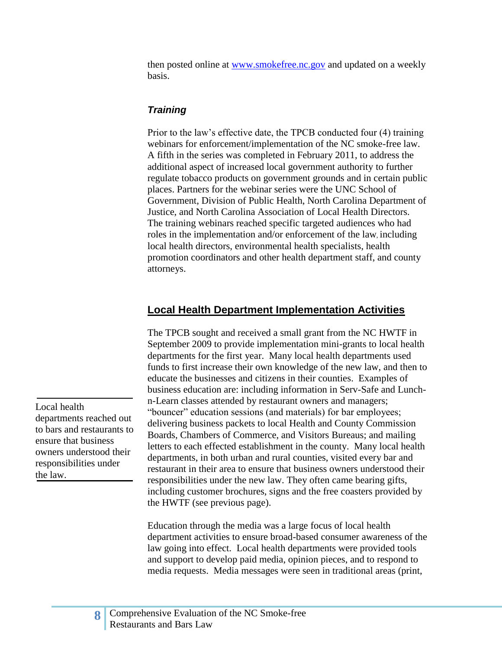then posted online at [www.smokefree.nc.gov](http://www.smokefree.nc.gov/) and updated on a weekly basis.

## <span id="page-7-0"></span>*Training*

Prior to the law's effective date, the TPCB conducted four (4) training webinars for enforcement/implementation of the NC smoke-free law. A fifth in the series was completed in February 2011, to address the additional aspect of increased local government authority to further regulate tobacco products on government grounds and in certain public places. Partners for the webinar series were the UNC School of Government, Division of Public Health, North Carolina Department of Justice, and North Carolina Association of Local Health Directors. The training webinars reached specific targeted audiences who had roles in the implementation and/or enforcement of the law, including local health directors, environmental health specialists, health promotion coordinators and other health department staff, and county attorneys.

# <span id="page-7-1"></span>**Local Health Department Implementation Activities**

The TPCB sought and received a small grant from the NC HWTF in September 2009 to provide implementation mini-grants to local health departments for the first year. Many local health departments used funds to first increase their own knowledge of the new law, and then to educate the businesses and citizens in their counties. Examples of business education are: including information in Serv-Safe and Lunchn-Learn classes attended by restaurant owners and managers; "bouncer" education sessions (and materials) for bar employees; delivering business packets to local Health and County Commission Boards, Chambers of Commerce, and Visitors Bureaus; and mailing letters to each effected establishment in the county. Many local health departments, in both urban and rural counties, visited every bar and restaurant in their area to ensure that business owners understood their responsibilities under the new law. They often came bearing gifts, including customer brochures, signs and the free coasters provided by the HWTF (see previous page).

Education through the media was a large focus of local health department activities to ensure broad-based consumer awareness of the law going into effect. Local health departments were provided tools and support to develop paid media, opinion pieces, and to respond to media requests. Media messages were seen in traditional areas (print,

Local health departments reached out to bars and restaurants to ensure that business owners understood their responsibilities under the law.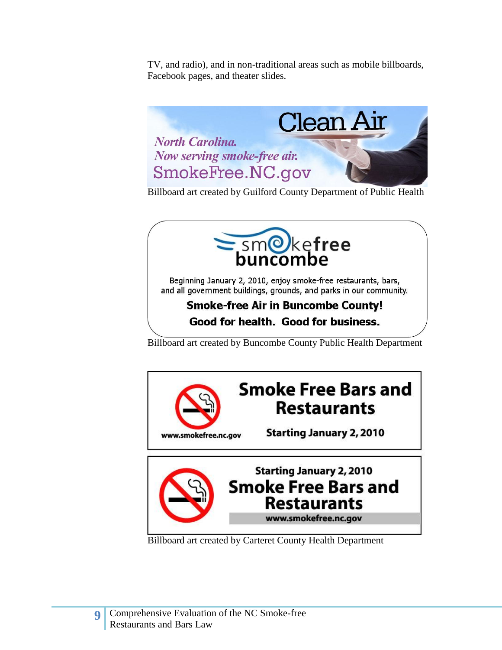TV, and radio), and in non-traditional areas such as mobile billboards, Facebook pages, and theater slides.



Billboard art created by Guilford County Department of Public Health



Beginning January 2, 2010, enjoy smoke-free restaurants, bars, and all government buildings, grounds, and parks in our community.

# **Smoke-free Air in Buncombe County!** Good for health. Good for business.

Billboard art created by Buncombe County Public Health Department



www.smokefree.nc.gov

Billboard art created by Carteret County Health Department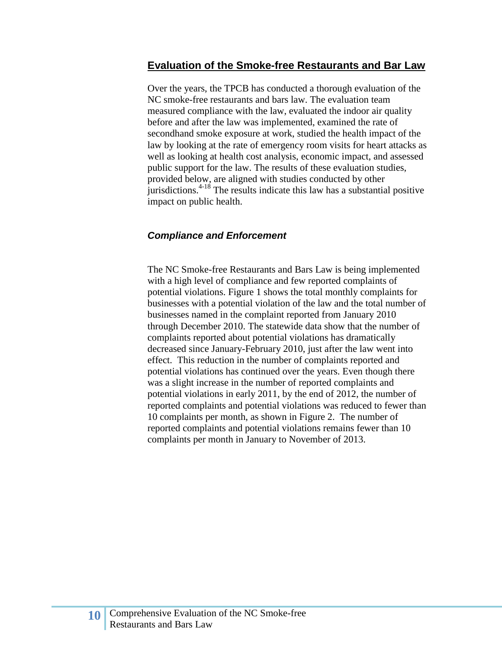#### <span id="page-9-0"></span>**Evaluation of the Smoke-free Restaurants and Bar Law**

Over the years, the TPCB has conducted a thorough evaluation of the NC smoke-free restaurants and bars law. The evaluation team measured compliance with the law, evaluated the indoor air quality before and after the law was implemented, examined the rate of secondhand smoke exposure at work, studied the health impact of the law by looking at the rate of emergency room visits for heart attacks as well as looking at health cost analysis, economic impact, and assessed public support for the law. The results of these evaluation studies, provided below, are aligned with studies conducted by other iurisdictions.<sup>4-18</sup> The results indicate this law has a substantial positive impact on public health.

#### <span id="page-9-1"></span>*Compliance and Enforcement*

The NC Smoke-free Restaurants and Bars Law is being implemented with a high level of compliance and few reported complaints of potential violations. Figure 1 shows the total monthly complaints for businesses with a potential violation of the law and the total number of businesses named in the complaint reported from January 2010 through December 2010. The statewide data show that the number of complaints reported about potential violations has dramatically decreased since January-February 2010, just after the law went into effect. This reduction in the number of complaints reported and potential violations has continued over the years. Even though there was a slight increase in the number of reported complaints and potential violations in early 2011, by the end of 2012, the number of reported complaints and potential violations was reduced to fewer than 10 complaints per month, as shown in Figure 2. The number of reported complaints and potential violations remains fewer than 10 complaints per month in January to November of 2013.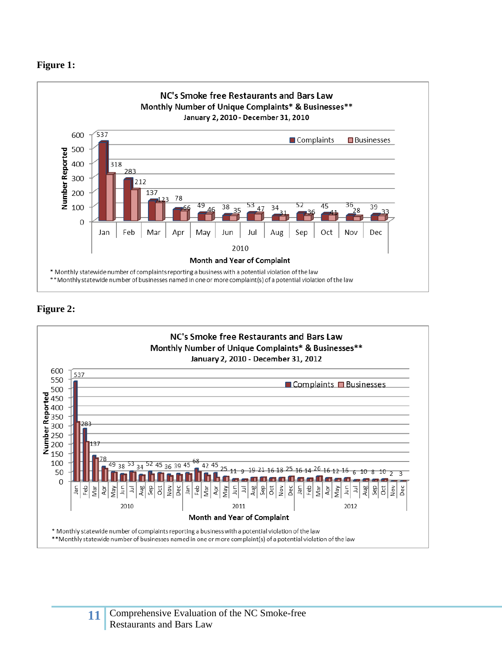#### **Figure 1:**



### **Figure 2:**

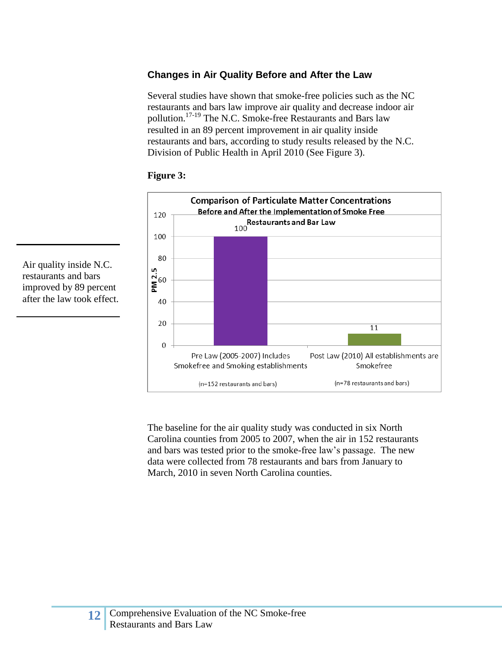## <span id="page-11-0"></span>**Changes in Air Quality Before and After the Law**

Several studies have shown that smoke-free policies such as the NC restaurants and bars law improve air quality and decrease indoor air pollution.17-19 The N.C. Smoke-free Restaurants and Bars law resulted in an 89 percent improvement in air quality inside restaurants and bars, according to study results released by the N.C. Division of Public Health in April 2010 (See Figure 3).



#### **Figure 3:**

The baseline for the air quality study was conducted in six North Carolina counties from 2005 to 2007, when the air in 152 restaurants and bars was tested prior to the smoke-free law's passage. The new data were collected from 78 restaurants and bars from January to March, 2010 in seven North Carolina counties.

Air quality inside N.C. restaurants and bars improved by 89 percent after the law took effect.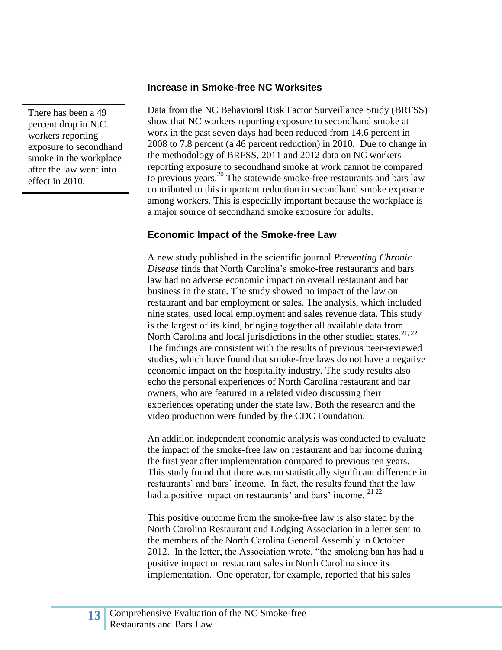There has been a 49 percent drop in N.C. workers reporting exposure to secondhand smoke in the workplace after the law went into effect in 2010.

#### <span id="page-12-0"></span>**Increase in Smoke-free NC Worksites**

Data from the NC Behavioral Risk Factor Surveillance Study (BRFSS) show that NC workers reporting exposure to secondhand smoke at work in the past seven days had been reduced from 14.6 percent in 2008 to 7.8 percent (a 46 percent reduction) in 2010. Due to change in the methodology of BRFSS, 2011 and 2012 data on NC workers reporting exposure to secondhand smoke at work cannot be compared to previous years.<sup>20</sup> The statewide smoke-free restaurants and bars law contributed to this important reduction in secondhand smoke exposure among workers. This is especially important because the workplace is a major source of secondhand smoke exposure for adults.

#### <span id="page-12-1"></span>**Economic Impact of the Smoke-free Law**

A new study published in the scientific journal *Preventing Chronic Disease* finds that North Carolina's smoke-free restaurants and bars law had no adverse economic impact on overall restaurant and bar business in the state. The study showed no impact of the law on restaurant and bar employment or sales. The analysis, which included nine states, used local employment and sales revenue data. This study is the largest of its kind, bringing together all available data from North Carolina and local jurisdictions in the other studied states.<sup>21, 22</sup> The findings are consistent with the results of previous peer-reviewed studies, which have found that smoke-free laws do not have a negative economic impact on the hospitality industry. The study results also echo the personal experiences of North Carolina restaurant and bar owners, who are featured in a related video discussing their experiences operating under the state law. Both the research and the video production were funded by the CDC Foundation.

An addition independent economic analysis was conducted to evaluate the impact of the smoke-free law on restaurant and bar income during the first year after implementation compared to previous ten years. This study found that there was no statistically significant difference in restaurants' and bars' income. In fact, the results found that the law had a positive impact on restaurants' and bars' income. <sup>21 22</sup>

This positive outcome from the smoke-free law is also stated by the North Carolina Restaurant and Lodging Association in a letter sent to the members of the North Carolina General Assembly in October 2012. In the letter, the Association wrote, "the smoking ban has had a positive impact on restaurant sales in North Carolina since its implementation. One operator, for example, reported that his sales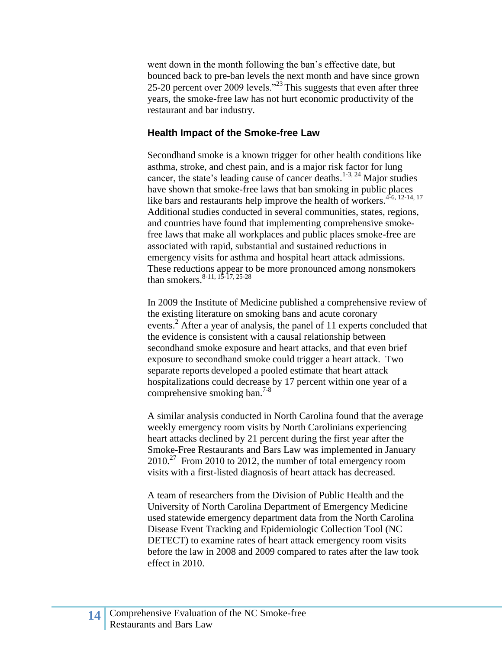went down in the month following the ban's effective date, but bounced back to pre-ban levels the next month and have since grown 25-20 percent over 2009 levels."<sup>23</sup> This suggests that even after three years, the smoke-free law has not hurt economic productivity of the restaurant and bar industry.

#### <span id="page-13-0"></span>**Health Impact of the Smoke-free Law**

Secondhand smoke is a known trigger for other health conditions like asthma, stroke, and chest pain, and is a major risk factor for lung cancer, the state's leading cause of cancer deaths. 1-3, 24 Major studies have shown that smoke-free laws that ban smoking in public places like bars and restaurants help improve the health of workers.<sup>4-6, 12-14, 17</sup> Additional studies conducted in several communities, states, regions, and countries have found that implementing comprehensive smokefree laws that make all workplaces and public places smoke-free are associated with rapid, substantial and sustained reductions in emergency visits for asthma and hospital heart attack admissions. These reductions appear to be more pronounced among nonsmokers than smokers.<sup>8-11, 15-17, 25-28</sup>

In 2009 the Institute of Medicine published a comprehensive review of the existing literature on smoking bans and acute coronary events.<sup>2</sup> After a year of analysis, the panel of 11 experts concluded that the evidence is consistent with a causal relationship between secondhand smoke exposure and heart attacks, and that even brief exposure to secondhand smoke could trigger a heart attack. Two separate reports developed a pooled estimate that heart attack hospitalizations could decrease by 17 percent within one year of a comprehensive smoking ban.<sup>7-8</sup>

A similar analysis conducted in North Carolina found that the average weekly emergency room visits by North Carolinians experiencing heart attacks declined by 21 percent during the first year after the Smoke-Free Restaurants and Bars Law was implemented in January  $2010^{27}$  From 2010 to 2012, the number of total emergency room visits with a first-listed diagnosis of heart attack has decreased.

A team of researchers from the Division of Public Health and the University of North Carolina Department of Emergency Medicine used statewide emergency department data from the North Carolina Disease Event Tracking and Epidemiologic Collection Tool (NC DETECT) to examine rates of heart attack emergency room visits before the law in 2008 and 2009 compared to rates after the law took effect in 2010.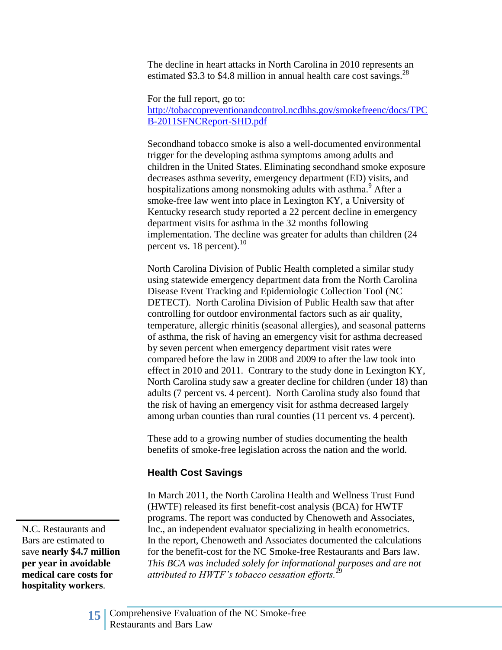The decline in heart attacks in North Carolina in 2010 represents an estimated \$3.3 to \$4.8 million in annual health care cost savings.<sup>28</sup>

For the full report, go to: [http://tobaccopreventionandcontrol.ncdhhs.gov/smokefreenc/docs/TPC](http://tobaccopreventionandcontrol.ncdhhs.gov/smokefreenc/docs/TPCB-2011SFNCReport-SHD.pdf) [B-2011SFNCReport-SHD.pdf](http://tobaccopreventionandcontrol.ncdhhs.gov/smokefreenc/docs/TPCB-2011SFNCReport-SHD.pdf)

Secondhand tobacco smoke is also a well-documented environmental trigger for the developing asthma symptoms among adults and children in the United States. Eliminating secondhand smoke exposure decreases asthma severity, emergency department (ED) visits, and hospitalizations among nonsmoking adults with asthma.<sup>9</sup> After a smoke-free law went into place in Lexington KY, a University of Kentucky research study reported a 22 percent decline in emergency department visits for asthma in the 32 months following implementation. The decline was greater for adults than children (24 percent vs. 18 percent).<sup>10</sup>

North Carolina Division of Public Health completed a similar study using statewide emergency department data from the North Carolina Disease Event Tracking and Epidemiologic Collection Tool (NC DETECT). North Carolina Division of Public Health saw that after controlling for outdoor environmental factors such as air quality, temperature, allergic rhinitis (seasonal allergies), and seasonal patterns of asthma, the risk of having an emergency visit for asthma decreased by seven percent when emergency department visit rates were compared before the law in 2008 and 2009 to after the law took into effect in 2010 and 2011. Contrary to the study done in Lexington KY, North Carolina study saw a greater decline for children (under 18) than adults (7 percent vs. 4 percent). North Carolina study also found that the risk of having an emergency visit for asthma decreased largely among urban counties than rural counties (11 percent vs. 4 percent).

These add to a growing number of studies documenting the health benefits of smoke-free legislation across the nation and the world.

### **Health Cost Savings**

In March 2011, the North Carolina Health and Wellness Trust Fund (HWTF) released its first benefit-cost analysis (BCA) for HWTF programs. The report was conducted by Chenoweth and Associates, Inc., an independent evaluator specializing in health econometrics. In the report, Chenoweth and Associates documented the calculations for the benefit-cost for the NC Smoke-free Restaurants and Bars law. *This BCA was included solely for informational purposes and are not attributed to HWTF's tobacco cessation efforts.*<sup>29</sup>

N.C. Restaurants and Bars are estimated to save **nearly \$4.7 million per year in avoidable medical care costs for hospitality workers**.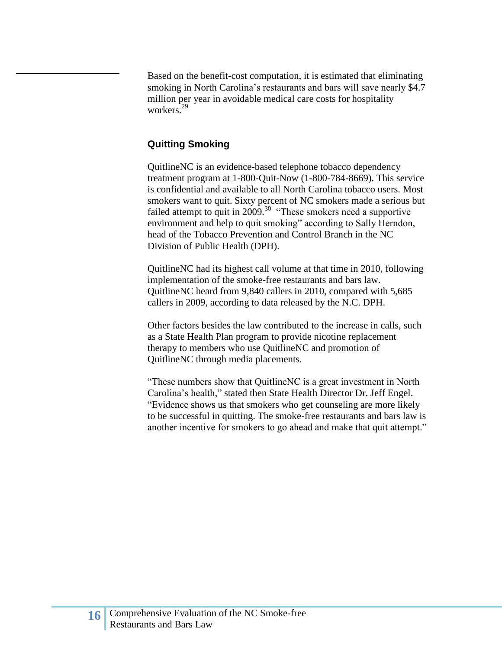Based on the benefit-cost computation, it is estimated that eliminating smoking in North Carolina's restaurants and bars will save nearly \$4.7 million per year in avoidable medical care costs for hospitality workers.<sup>29</sup>

#### <span id="page-15-0"></span>**Quitting Smoking**

QuitlineNC is an evidence-based telephone tobacco dependency treatment program at 1-800-Quit-Now (1-800-784-8669). This service is confidential and available to all North Carolina tobacco users. Most smokers want to quit. Sixty percent of NC smokers made a serious but failed attempt to quit in  $2009$ .<sup>30</sup> "These smokers need a supportive environment and help to quit smoking" according to Sally Herndon, head of the Tobacco Prevention and Control Branch in the NC Division of Public Health (DPH).

QuitlineNC had its highest call volume at that time in 2010, following implementation of the smoke-free restaurants and bars law. QuitlineNC heard from 9,840 callers in 2010, compared with 5,685 callers in 2009, according to data released by the N.C. DPH.

Other factors besides the law contributed to the increase in calls, such as a State Health Plan program to provide nicotine replacement therapy to members who use QuitlineNC and promotion of QuitlineNC through media placements.

"These numbers show that QuitlineNC is a great investment in North Carolina's health," stated then State Health Director Dr. Jeff Engel. "Evidence shows us that smokers who get counseling are more likely to be successful in quitting. The smoke-free restaurants and bars law is another incentive for smokers to go ahead and make that quit attempt."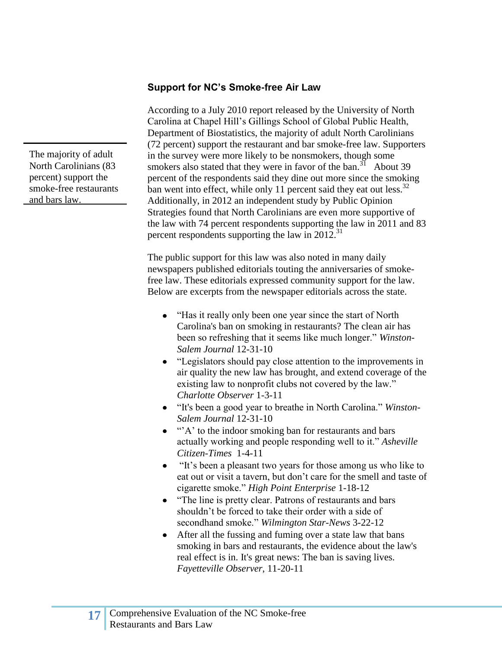#### <span id="page-16-0"></span>**Support for NC's Smoke-free Air Law**

According to a July 2010 report released by the University of North Carolina at Chapel Hill's Gillings School of Global Public Health, Department of Biostatistics, the majority of adult North Carolinians (72 percent) support the restaurant and bar smoke-free law. Supporters in the survey were more likely to be nonsmokers, though some smokers also stated that they were in favor of the ban.<sup>31</sup> About 39 percent of the respondents said they dine out more since the smoking ban went into effect, while only 11 percent said they eat out less. $32$ Additionally, in 2012 an independent study by Public Opinion Strategies found that North Carolinians are even more supportive of the law with 74 percent respondents supporting the law in 2011 and 83 percent respondents supporting the law in  $2012$ .<sup>31</sup>

The public support for this law was also noted in many daily newspapers published editorials touting the anniversaries of smokefree law. These editorials expressed community support for the law. Below are excerpts from the newspaper editorials across the state.

- "Has it really only been one year since the start of North Carolina's ban on smoking in restaurants? The clean air has been so refreshing that it seems like much longer." *Winston-Salem Journal* 12-31-10
- "Legislators should pay close attention to the improvements in air quality the new law has brought, and extend coverage of the existing law to nonprofit clubs not covered by the law." *Charlotte Observer* 1-3-11
- "It's been a good year to breathe in North Carolina." *Winston-Salem Journal* 12-31-10
- $\bullet$  " $\cdot$ "A' to the indoor smoking ban for restaurants and bars actually working and people responding well to it." *Asheville Citizen-Times* 1-4-11
- "It's been a pleasant two years for those among us who like to eat out or visit a tavern, but don't care for the smell and taste of cigarette smoke." *High Point Enterprise* 1-18-12
- "The line is pretty clear. Patrons of restaurants and bars shouldn't be forced to take their order with a side of secondhand smoke." *Wilmington Star-News* 3-22-12
- After all the fussing and fuming over a state law that bans  $\bullet$ smoking in bars and restaurants, the evidence about the law's real effect is in. It's great news: The ban is saving lives. *Fayetteville Observer*, 11-20-11

The majority of adult North Carolinians (83 percent) support the smoke-free restaurants and bars law.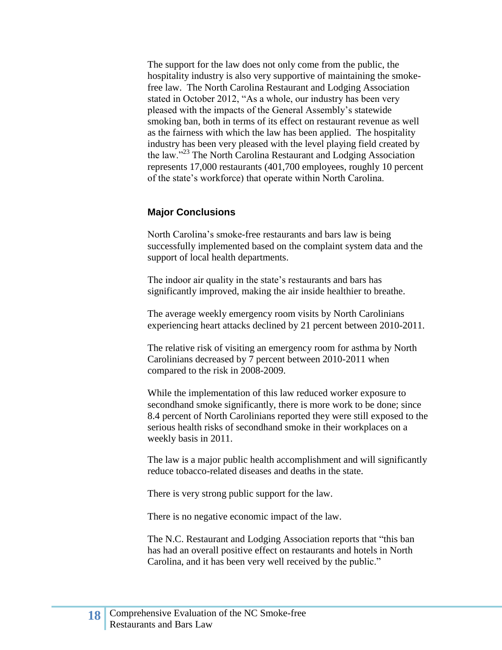The support for the law does not only come from the public, the hospitality industry is also very supportive of maintaining the smokefree law. The North Carolina Restaurant and Lodging Association stated in October 2012, "As a whole, our industry has been very pleased with the impacts of the General Assembly's statewide smoking ban, both in terms of its effect on restaurant revenue as well as the fairness with which the law has been applied. The hospitality industry has been very pleased with the level playing field created by the law."<sup>23</sup> The North Carolina Restaurant and Lodging Association represents 17,000 restaurants (401,700 employees, roughly 10 percent of the state's workforce) that operate within North Carolina.

#### <span id="page-17-0"></span>**Major Conclusions**

North Carolina's smoke-free restaurants and bars law is being successfully implemented based on the complaint system data and the support of local health departments.

The indoor air quality in the state's restaurants and bars has significantly improved, making the air inside healthier to breathe.

The average weekly emergency room visits by North Carolinians experiencing heart attacks declined by 21 percent between 2010-2011.

The relative risk of visiting an emergency room for asthma by North Carolinians decreased by 7 percent between 2010-2011 when compared to the risk in 2008-2009.

While the implementation of this law reduced worker exposure to secondhand smoke significantly, there is more work to be done; since 8.4 percent of North Carolinians reported they were still exposed to the serious health risks of secondhand smoke in their workplaces on a weekly basis in 2011.

The law is a major public health accomplishment and will significantly reduce tobacco-related diseases and deaths in the state.

There is very strong public support for the law.

There is no negative economic impact of the law.

The N.C. Restaurant and Lodging Association reports that "this ban has had an overall positive effect on restaurants and hotels in North Carolina, and it has been very well received by the public."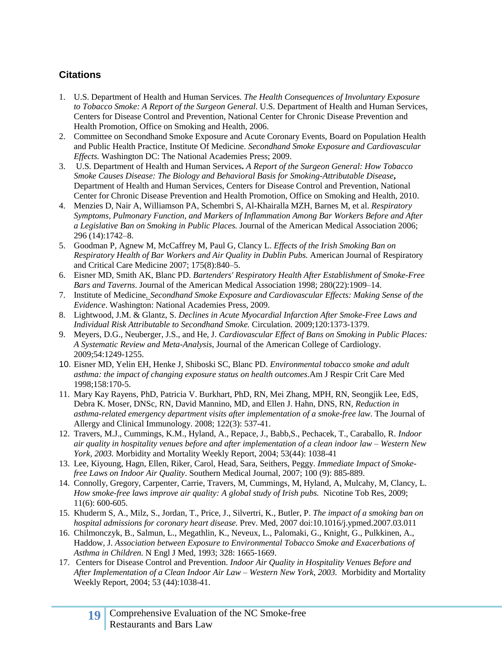## <span id="page-18-0"></span>**Citations**

- 1. U.S. Department of Health and Human Services. *The Health Consequences of Involuntary Exposure to Tobacco Smoke: A Report of the Surgeon General*. U.S. Department of Health and Human Services, Centers for Disease Control and Prevention, National Center for Chronic Disease Prevention and Health Promotion, Office on Smoking and Health, 2006.
- 2. Committee on Secondhand Smoke Exposure and Acute Coronary Events, Board on Population Health and Public Health Practice, Institute Of Medicine. *Secondhand Smoke Exposure and Cardiovascular Effects.* Washington DC: The National Academies Press; 2009.
- 3. U.S. Department of Health and Human Services**.** *A Report of the Surgeon General: How Tobacco Smoke Causes Disease: The Biology and Behavioral Basis for Smoking-Attributable Disease***,**  Department of Health and Human Services, Centers for Disease Control and Prevention, National Center for Chronic Disease Prevention and Health Promotion, Office on Smoking and Health, 2010.
- 4. Menzies D, Nair A, Williamson PA, Schembri S, Al-Khairalla MZH, Barnes M, et al. *Respiratory Symptoms, Pulmonary Function, and Markers of Inflammation Among Bar Workers Before and After a Legislative Ban on Smoking in Public Places.* Journal of the American Medical Association 2006; 296 (14):1742–8.
- 5. Goodman P, Agnew M, McCaffrey M, Paul G, Clancy L. *Effects of the Irish Smoking Ban on Respiratory Health of Bar Workers and Air Quality in Dublin Pubs.* American Journal of Respiratory and Critical Care Medicine 2007; 175(8):840–5.
- 6. Eisner MD, Smith AK, Blanc PD. *Bartenders' Respiratory Health After Establishment of Smoke-Free Bars and Taverns*. Journal of the American Medical Association 1998; 280(22):1909–14.
- 7. Institute of Medicine*. [Secondhand Smoke Exposure and Cardiovascular Effects: Making Sense of the](http://books.nap.edu/catalog.php?record_id=12649)  [Evidence](http://books.nap.edu/catalog.php?record_id=12649)*. Washington: National Academies Press, 2009.
- 8. Lightwood, J.M. & Glantz, S. *Declines in Acute Myocardial Infarction After Smoke-Free Laws and Individual Risk Attributable to Secondhand Smoke.* Circulation. 2009;120:1373-1379.
- 9. Meyers, D.G., Neuberger, J.S., and He, J. *Cardiovascular Effect of Bans on Smoking in Public Places: A Systematic Review and Meta-Analysis,* Journal of the American College of Cardiology. 2009;54:1249-1255.
- 10. Eisner MD, Yelin EH, Henke J, Shiboski SC, Blanc PD. *Environmental tobacco smoke and adult asthma: the impact of changing exposure status on health outcomes*.Am J Respir Crit Care Med 1998;158:170-5.
- 11. Mary Kay Rayens, PhD, Patricia V. Burkhart, PhD, RN, Mei Zhang, MPH, RN, Seongjik Lee, EdS, Debra K. Moser, DNSc, RN, David Mannino, MD, and Ellen J. Hahn, DNS, RN, *Reduction in asthma-related emergency department visits after implementation of a smoke-free law.* The Journal of Allergy and Clinical Immunology. 2008; 122(3): 537-41.
- 12. Travers, M.J., Cummings, K.M., Hyland, A., Repace, J., Babb,S., Pechacek, T., Caraballo, R. *Indoor air quality in hospitality venues before and after implementation of a clean indoor law – Western New York, 2003.* Morbidity and Mortality Weekly Report, 2004; 53(44): 1038-41
- 13. Lee, Kiyoung, Hagn, Ellen, Riker, Carol, Head, Sara, Seithers, Peggy. *Immediate Impact of Smokefree Laws on Indoor Air Quality*. Southern Medical Journal*,* 2007; 100 (9): 885-889.
- 14. Connolly, Gregory, Carpenter, Carrie, Travers, M, Cummings, M, Hyland, A, Mulcahy, M, Clancy, L. *How smoke-free laws improve air quality: A global study of Irish pubs.* Nicotine Tob Res, 2009; 11(6): 600-605.
- 15. Khuderm S, A., Milz, S., Jordan, T., Price, J., Silvertri, K., Butler, P. *The impact of a smoking ban on hospital admissions for coronary heart disease.* Prev. Med, 2007 doi:10.1016/j.ypmed.2007.03.011
- 16. Chilmonczyk, B., Salmun, L., Megathlin, K., Neveux, L., Palomaki, G., Knight, G., Pulkkinen, A., Haddow, J. *Association between Exposure to Environmental Tobacco Smoke and Exacerbations of Asthma in Children.* N Engl J Med, 1993; 328: 1665-1669.
- 17. Centers for Disease Control and Prevention. *Indoor Air Quality in Hospitality Venues Before and After Implementation of a Clean Indoor Air Law – Western New York, 2003.* Morbidity and Mortality Weekly Report, 2004; 53 (44):1038-41.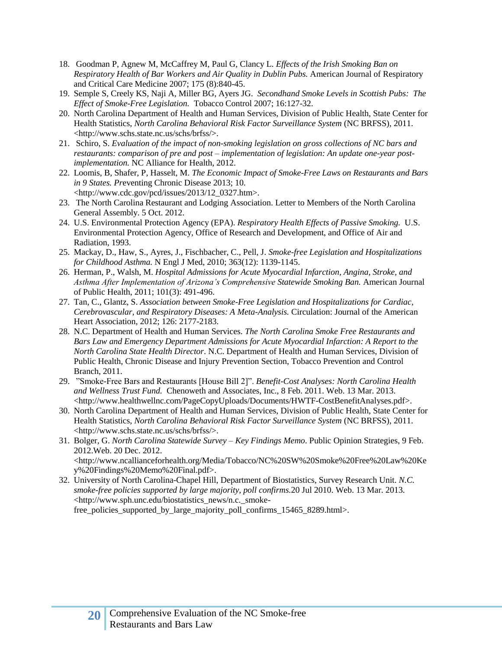- 18. Goodman P, Agnew M, McCaffrey M, Paul G, Clancy L. *Effects of the Irish Smoking Ban on Respiratory Health of Bar Workers and Air Quality in Dublin Pubs.* American Journal of Respiratory and Critical Care Medicine 2007; 175 (8):840-45.
- 19. Semple S, Creely KS, Naji A, Miller BG, Ayers JG. *Secondhand Smoke Levels in Scottish Pubs: The Effect of Smoke-Free Legislation.* Tobacco Control 2007; 16:127-32.
- 20. North Carolina Department of Health and Human Services, Division of Public Health, State Center for Health Statistics, *North Carolina Behavioral Risk Factor Surveillance System* (NC BRFSS), 2011. <http://www.schs.state.nc.us/schs/brfss/>.
- 21. Schiro, S. *Evaluation of the impact of non-smoking legislation on gross collections of NC bars and restaurants: comparison of pre and post – implementation of legislation: An update one-year postimplementation.* NC Alliance for Health, 2012.
- 22. Loomis, B, Shafer, P, Hasselt, M. *The Economic Impact of Smoke-Free Laws on Restaurants and Bars in 9 States. Pr*eventing Chronic Disease 2013; 10. <http://www.cdc.gov/pcd/issues/2013/12\_0327.htm>.
- 23. The North Carolina Restaurant and Lodging Association. Letter to Members of the North Carolina General Assembly. 5 Oct. 2012.
- 24. U.S. Environmental Protection Agency (EPA). *Respiratory Health Effects of Passive Smoking.* U.S. Environmental Protection Agency, Office of Research and Development, and Office of Air and Radiation, 1993.
- 25. Mackay, D., Haw, S., Ayres, J., Fischbacher, C., Pell, J. *Smoke-free Legislation and Hospitalizations for Childhood Asthma.* N Engl J Med, 2010; 363(12): 1139-1145.
- 26. Herman, P., Walsh, M. *Hospital Admissions for Acute Myocardial Infarction, Angina, Stroke, and Asthma After Implementation of Arizona's Comprehensive Statewide Smoking Ban.* American Journal of Public Health, 2011; 101(3): 491-496.
- 27. Tan, C., Glantz, S. *Association between Smoke-Free Legislation and Hospitalizations for Cardiac, Cerebrovascular, and Respiratory Diseases: A Meta-Analysis.* Circulation: Journal of the American Heart Association, 2012; 126: 2177-2183.
- 28. N.C. Department of Health and Human Services. *The North Carolina Smoke Free Restaurants and Bars Law and Emergency Department Admissions for Acute Myocardial Infarction: A Report to the North Carolina State Health Director*. N.C. Department of Health and Human Services, Division of Public Health, Chronic Disease and Injury Prevention Section, Tobacco Prevention and Control Branch, 2011.
- 29. "Smoke-Free Bars and Restaurants [House Bill 2]". *Benefit-Cost Analyses: North Carolina Health and Wellness Trust Fund.* Chenoweth and Associates, Inc., 8 Feb. 2011. Web. 13 Mar. 2013. <http://www.healthwellnc.com/PageCopyUploads/Documents/HWTF-CostBenefitAnalyses.pdf>.
- 30. North Carolina Department of Health and Human Services, Division of Public Health, State Center for Health Statistics, *North Carolina Behavioral Risk Factor Surveillance System* (NC BRFSS), 2011. <http://www.schs.state.nc.us/schs/brfss/>.
- 31. Bolger, G. *North Carolina Statewide Survey – Key Findings Memo*. Public Opinion Strategies, 9 Feb. 2012.Web. 20 Dec. 2012. <http://www.ncallianceforhealth.org/Media/Tobacco/NC%20SW%20Smoke%20Free%20Law%20Ke y%20Findings%20Memo%20Final.pdf>.
- 32. University of North Carolina-Chapel Hill, Department of Biostatistics, Survey Research Unit. *N.C. smoke-free policies supported by large majority, poll confirms.*20 Jul 2010. Web. 13 Mar. 2013. <http://www.sph.unc.edu/biostatistics\_news/n.c.\_smokefree\_policies\_supported\_by\_large\_majority\_poll\_confirms\_15465\_8289.html>.